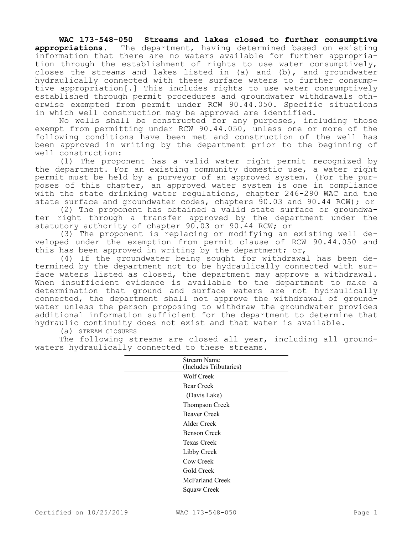**WAC 173-548-050 Streams and lakes closed to further consumptive appropriations.** The department, having determined based on existing information that there are no waters available for further appropriation through the establishment of rights to use water consumptively, closes the streams and lakes listed in (a) and (b), and groundwater hydraulically connected with these surface waters to further consumptive appropriation[.] This includes rights to use water consumptively established through permit procedures and groundwater withdrawals otherwise exempted from permit under RCW 90.44.050. Specific situations in which well construction may be approved are identified.

No wells shall be constructed for any purposes, including those exempt from permitting under RCW 90.44.050, unless one or more of the following conditions have been met and construction of the well has been approved in writing by the department prior to the beginning of well construction:

(1) The proponent has a valid water right permit recognized by the department. For an existing community domestic use, a water right permit must be held by a purveyor of an approved system. (For the purposes of this chapter, an approved water system is one in compliance with the state drinking water regulations, chapter 246-290 WAC and the state surface and groundwater codes, chapters 90.03 and 90.44 RCW); or

(2) The proponent has obtained a valid state surface or groundwater right through a transfer approved by the department under the statutory authority of chapter 90.03 or 90.44 RCW; or

(3) The proponent is replacing or modifying an existing well developed under the exemption from permit clause of RCW 90.44.050 and this has been approved in writing by the department; or,

(4) If the groundwater being sought for withdrawal has been determined by the department not to be hydraulically connected with surface waters listed as closed, the department may approve a withdrawal. When insufficient evidence is available to the department to make a determination that ground and surface waters are not hydraulically connected, the department shall not approve the withdrawal of groundwater unless the person proposing to withdraw the groundwater provides additional information sufficient for the department to determine that hydraulic continuity does not exist and that water is available.

(a) STREAM CLOSURES

The following streams are closed all year, including all groundwaters hydraulically connected to these streams.

| Stream Name            |
|------------------------|
| (Includes Tributaries) |
|                        |
| Wolf Creek             |
| Bear Creek             |
| (Davis Lake)           |
| Thompson Creek         |
| <b>Beaver Creek</b>    |
| Alder Creek            |
| Benson Creek           |
| Texas Creek            |
| Libby Creek            |
| Cow Creek              |
| Gold Creek             |
| McFarland Creek        |
| Squaw Creek            |
|                        |